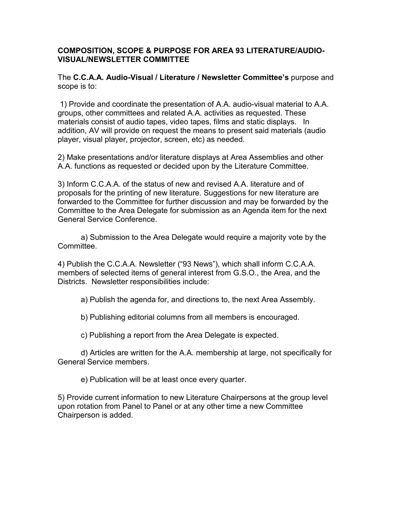## **COMPOSITION, SCOPE & PURPOSE FOR AREA 93 LITERATURE/AUDIO-VISUAL/NEWSLETTER COMMITTEE**

The **C.C.A.A. Audio-Visual / Literature / Newsletter Committee's** purpose and scope is to:

1) Provide and coordinate the presentation of A.A. audio-visual material to A.A. groups, other committees and related A.A. activities as requested. These materials consist of audio tapes, video tapes, films and static displays. In addition, AV will provide on request the means to present said materials (audio player, visual player, projector, screen, etc) as needed.

2) Make presentations and/or literature displays at Area Assemblies and other A.A. functions as requested or decided upon by the Literature Committee.

3) Inform C.C.A.A. of the status of new and revised A.A. literature and of proposals for the printing of new literature. Suggestions for new literature are forwarded to the Committee for further discussion and may be forwarded by the Committee to the Area Delegate for submission as an Agenda item for the next General Service Conference.

a) Submission to the Area Delegate would require a majority vote by the Committee.

4) Publish the C.C.A.A. Newsletter ("93 News"), which shall inform C.C.A.A. members of selected items of general interest from G.S.O., the Area, and the Districts. Newsletter responsibilities include:

a) Publish the agenda for, and directions to, the next Area Assembly.

b) Publishing editorial columns from all members is encouraged.

c) Publishing a report from the Area Delegate is expected.

d) Articles are written for the A.A. membership at large, not specifically for General Service members.

e) Publication will be at least once every quarter.

5) Provide current information to new Literature Chairpersons at the group level upon rotation from Panel to Panel or at any other time a new Committee Chairperson is added.